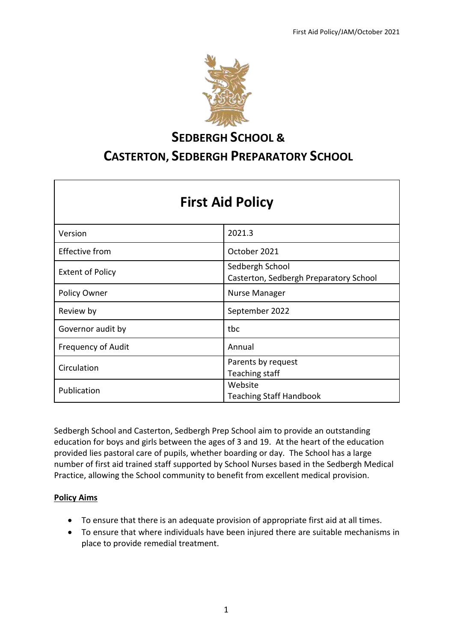

# **SEDBERGH SCHOOL & CASTERTON, SEDBERGH PREPARATORY SCHOOL**

| <b>First Aid Policy</b>   |                                                           |  |
|---------------------------|-----------------------------------------------------------|--|
| Version                   | 2021.3                                                    |  |
| <b>Effective from</b>     | October 2021                                              |  |
| <b>Extent of Policy</b>   | Sedbergh School<br>Casterton, Sedbergh Preparatory School |  |
| Policy Owner              | <b>Nurse Manager</b>                                      |  |
| Review by                 | September 2022                                            |  |
| Governor audit by         | tbc                                                       |  |
| <b>Frequency of Audit</b> | Annual                                                    |  |
| Circulation               | Parents by request<br>Teaching staff                      |  |
| Publication               | Website<br><b>Teaching Staff Handbook</b>                 |  |

Sedbergh School and Casterton, Sedbergh Prep School aim to provide an outstanding education for boys and girls between the ages of 3 and 19. At the heart of the education provided lies pastoral care of pupils, whether boarding or day. The School has a large number of first aid trained staff supported by School Nurses based in the Sedbergh Medical Practice, allowing the School community to benefit from excellent medical provision.

## **Policy Aims**

- To ensure that there is an adequate provision of appropriate first aid at all times.
- To ensure that where individuals have been injured there are suitable mechanisms in place to provide remedial treatment.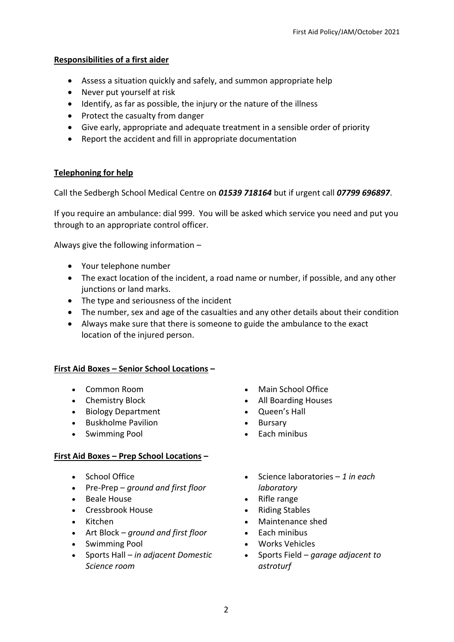## **Responsibilities of a first aider**

- Assess a situation quickly and safely, and summon appropriate help
- Never put yourself at risk
- Identify, as far as possible, the injury or the nature of the illness
- Protect the casualty from danger
- Give early, appropriate and adequate treatment in a sensible order of priority
- Report the accident and fill in appropriate documentation

## **Telephoning for help**

Call the Sedbergh School Medical Centre on *01539 718164* but if urgent call *07799 696897*.

If you require an ambulance: dial 999. You will be asked which service you need and put you through to an appropriate control officer.

Always give the following information –

- Your telephone number
- The exact location of the incident, a road name or number, if possible, and any other junctions or land marks.
- The type and seriousness of the incident
- The number, sex and age of the casualties and any other details about their condition
- Always make sure that there is someone to guide the ambulance to the exact location of the injured person.

#### **First Aid Boxes – Senior School Locations –**

- Common Room
- Chemistry Block
- Biology Department
- Buskholme Pavilion
- Swimming Pool

## **First Aid Boxes – Prep School Locations –**

- School Office
- Pre-Prep *ground and first floor*
- Beale House
- Cressbrook House
- Kitchen
- Art Block *ground and first floor*
- Swimming Pool
- Sports Hall *in adjacent Domestic Science room*
- Main School Office
- All Boarding Houses
- Queen's Hall
- Bursary
- Each minibus
- Science laboratories *1 in each laboratory*
- Rifle range
- Riding Stables
- Maintenance shed
- Each minibus
- Works Vehicles
- Sports Field *garage adjacent to astroturf*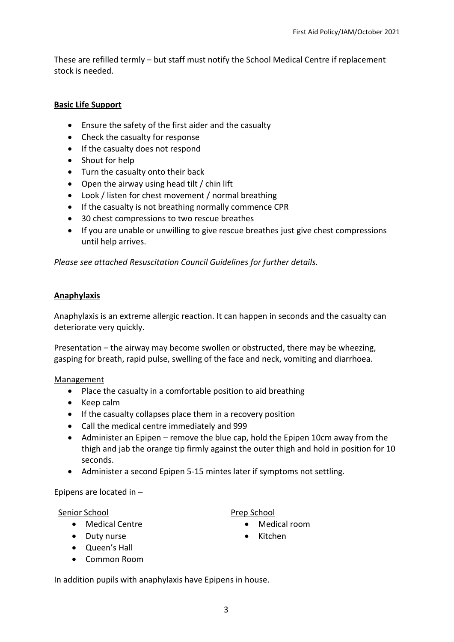These are refilled termly – but staff must notify the School Medical Centre if replacement stock is needed.

## **Basic Life Support**

- Ensure the safety of the first aider and the casualty
- Check the casualty for response
- If the casualty does not respond
- Shout for help
- Turn the casualty onto their back
- Open the airway using head tilt / chin lift
- Look / listen for chest movement / normal breathing
- If the casualty is not breathing normally commence CPR
- 30 chest compressions to two rescue breathes
- If you are unable or unwilling to give rescue breathes just give chest compressions until help arrives.

*Please see attached Resuscitation Council Guidelines for further details.* 

#### **Anaphylaxis**

Anaphylaxis is an extreme allergic reaction. It can happen in seconds and the casualty can deteriorate very quickly.

Presentation – the airway may become swollen or obstructed, there may be wheezing, gasping for breath, rapid pulse, swelling of the face and neck, vomiting and diarrhoea.

#### Management

- Place the casualty in a comfortable position to aid breathing
- Keep calm
- If the casualty collapses place them in a recovery position
- Call the medical centre immediately and 999
- Administer an Epipen remove the blue cap, hold the Epipen 10cm away from the thigh and jab the orange tip firmly against the outer thigh and hold in position for 10 seconds.
- Administer a second Epipen 5-15 mintes later if symptoms not settling.

Epipens are located in –

## Senior School

- Medical Centre
- Duty nurse
- Queen's Hall
- Common Room

Prep School

- Medical room
- Kitchen

In addition pupils with anaphylaxis have Epipens in house.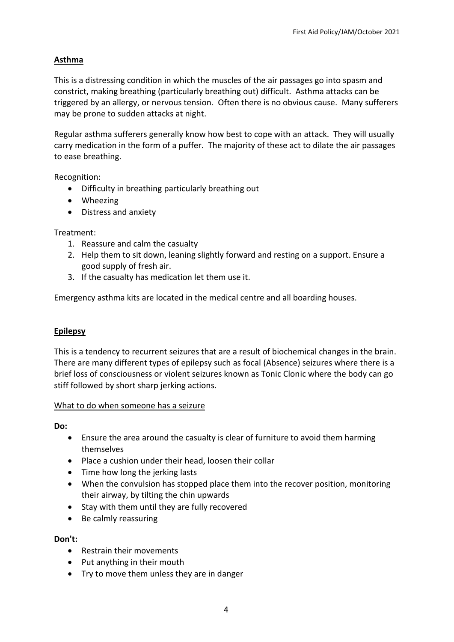# **Asthma**

This is a distressing condition in which the muscles of the air passages go into spasm and constrict, making breathing (particularly breathing out) difficult. Asthma attacks can be triggered by an allergy, or nervous tension. Often there is no obvious cause. Many sufferers may be prone to sudden attacks at night.

Regular asthma sufferers generally know how best to cope with an attack. They will usually carry medication in the form of a puffer. The majority of these act to dilate the air passages to ease breathing.

Recognition:

- Difficulty in breathing particularly breathing out
- Wheezing
- Distress and anxiety

Treatment:

- 1. Reassure and calm the casualty
- 2. Help them to sit down, leaning slightly forward and resting on a support. Ensure a good supply of fresh air.
- 3. If the casualty has medication let them use it.

Emergency asthma kits are located in the medical centre and all boarding houses.

## **Epilepsy**

This is a tendency to recurrent seizures that are a result of biochemical changes in the brain. There are many different types of epilepsy such as focal (Absence) seizures where there is a brief loss of consciousness or violent seizures known as Tonic Clonic where the body can go stiff followed by short sharp jerking actions.

## What to do when someone has a seizure

**Do:** 

- Ensure the area around the casualty is clear of furniture to avoid them harming themselves
- Place a cushion under their head, loosen their collar
- Time how long the jerking lasts
- When the convulsion has stopped place them into the recover position, monitoring their airway, by tilting the chin upwards
- Stay with them until they are fully recovered
- Be calmly reassuring

## **Don't:**

- Restrain their movements
- Put anything in their mouth
- Try to move them unless they are in danger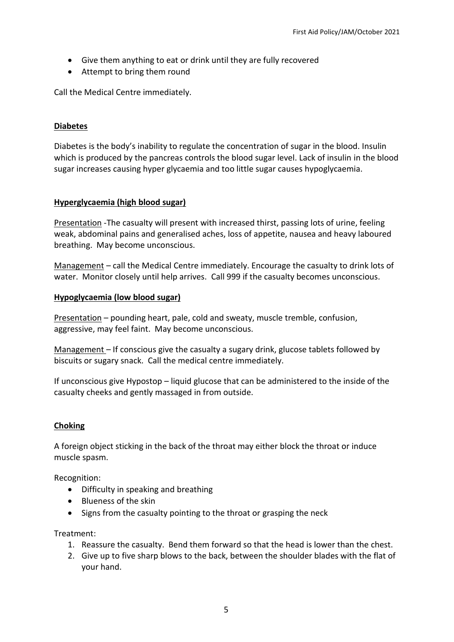- Give them anything to eat or drink until they are fully recovered
- Attempt to bring them round

Call the Medical Centre immediately.

#### **Diabetes**

Diabetes is the body's inability to regulate the concentration of sugar in the blood. Insulin which is produced by the pancreas controls the blood sugar level. Lack of insulin in the blood sugar increases causing hyper glycaemia and too little sugar causes hypoglycaemia.

#### **Hyperglycaemia (high blood sugar)**

Presentation -The casualty will present with increased thirst, passing lots of urine, feeling weak, abdominal pains and generalised aches, loss of appetite, nausea and heavy laboured breathing. May become unconscious.

Management – call the Medical Centre immediately. Encourage the casualty to drink lots of water. Monitor closely until help arrives. Call 999 if the casualty becomes unconscious.

#### **Hypoglycaemia (low blood sugar)**

Presentation – pounding heart, pale, cold and sweaty, muscle tremble, confusion, aggressive, may feel faint. May become unconscious.

Management – If conscious give the casualty a sugary drink, glucose tablets followed by biscuits or sugary snack. Call the medical centre immediately.

If unconscious give Hypostop – liquid glucose that can be administered to the inside of the casualty cheeks and gently massaged in from outside.

#### **Choking**

A foreign object sticking in the back of the throat may either block the throat or induce muscle spasm.

Recognition:

- Difficulty in speaking and breathing
- Blueness of the skin
- Signs from the casualty pointing to the throat or grasping the neck

Treatment:

- 1. Reassure the casualty. Bend them forward so that the head is lower than the chest.
- 2. Give up to five sharp blows to the back, between the shoulder blades with the flat of your hand.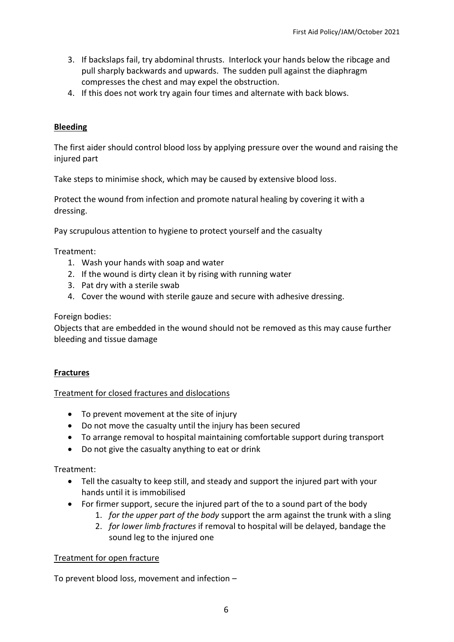- 3. If backslaps fail, try abdominal thrusts. Interlock your hands below the ribcage and pull sharply backwards and upwards. The sudden pull against the diaphragm compresses the chest and may expel the obstruction.
- 4. If this does not work try again four times and alternate with back blows.

## **Bleeding**

The first aider should control blood loss by applying pressure over the wound and raising the injured part

Take steps to minimise shock, which may be caused by extensive blood loss.

Protect the wound from infection and promote natural healing by covering it with a dressing.

Pay scrupulous attention to hygiene to protect yourself and the casualty

Treatment:

- 1. Wash your hands with soap and water
- 2. If the wound is dirty clean it by rising with running water
- 3. Pat dry with a sterile swab
- 4. Cover the wound with sterile gauze and secure with adhesive dressing.

Foreign bodies:

Objects that are embedded in the wound should not be removed as this may cause further bleeding and tissue damage

#### **Fractures**

#### Treatment for closed fractures and dislocations

- To prevent movement at the site of injury
- Do not move the casualty until the injury has been secured
- To arrange removal to hospital maintaining comfortable support during transport
- Do not give the casualty anything to eat or drink

Treatment:

- Tell the casualty to keep still, and steady and support the injured part with your hands until it is immobilised
- For firmer support, secure the injured part of the to a sound part of the body
	- 1. *for the upper part of the body* support the arm against the trunk with a sling
	- 2. *for lower limb fractures* if removal to hospital will be delayed, bandage the sound leg to the injured one

#### Treatment for open fracture

To prevent blood loss, movement and infection –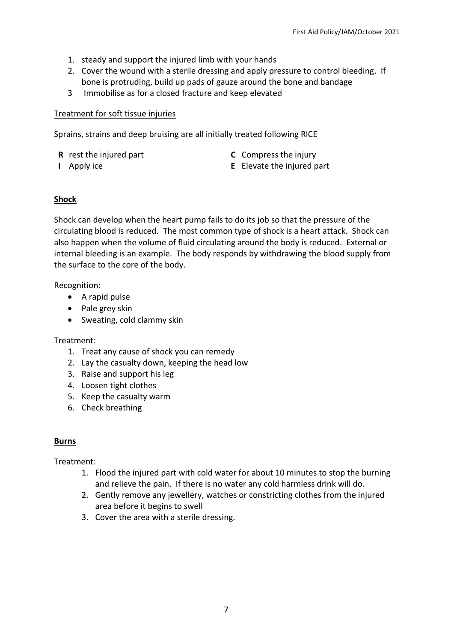- 1. steady and support the injured limb with your hands
- 2. Cover the wound with a sterile dressing and apply pressure to control bleeding. If bone is protruding, build up pads of gauze around the bone and bandage
- 3 Immobilise as for a closed fracture and keep elevated

## Treatment for soft tissue injuries

Sprains, strains and deep bruising are all initially treated following RICE

- **R** rest the injured part
- **I** Apply ice
- **C** Compress the injury
- **E** Elevate the injured part

# **Shock**

Shock can develop when the heart pump fails to do its job so that the pressure of the circulating blood is reduced. The most common type of shock is a heart attack. Shock can also happen when the volume of fluid circulating around the body is reduced. External or internal bleeding is an example. The body responds by withdrawing the blood supply from the surface to the core of the body.

Recognition:

- A rapid pulse
- Pale grey skin
- Sweating, cold clammy skin

# Treatment:

- 1. Treat any cause of shock you can remedy
- 2. Lay the casualty down, keeping the head low
- 3. Raise and support his leg
- 4. Loosen tight clothes
- 5. Keep the casualty warm
- 6. Check breathing

## **Burns**

Treatment:

- 1. Flood the injured part with cold water for about 10 minutes to stop the burning and relieve the pain. If there is no water any cold harmless drink will do.
- 2. Gently remove any jewellery, watches or constricting clothes from the injured area before it begins to swell
- 3. Cover the area with a sterile dressing.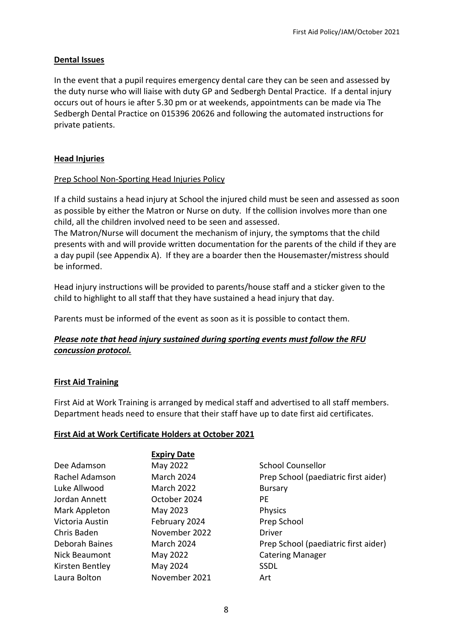#### **Dental Issues**

In the event that a pupil requires emergency dental care they can be seen and assessed by the duty nurse who will liaise with duty GP and Sedbergh Dental Practice. If a dental injury occurs out of hours ie after 5.30 pm or at weekends, appointments can be made via The Sedbergh Dental Practice on 015396 20626 and following the automated instructions for private patients.

#### **Head Injuries**

#### Prep School Non-Sporting Head Injuries Policy

If a child sustains a head injury at School the injured child must be seen and assessed as soon as possible by either the Matron or Nurse on duty. If the collision involves more than one child, all the children involved need to be seen and assessed.

The Matron/Nurse will document the mechanism of injury, the symptoms that the child presents with and will provide written documentation for the parents of the child if they are a day pupil (see Appendix A). If they are a boarder then the Housemaster/mistress should be informed.

Head injury instructions will be provided to parents/house staff and a sticker given to the child to highlight to all staff that they have sustained a head injury that day.

Parents must be informed of the event as soon as it is possible to contact them.

## *Please note that head injury sustained during sporting events must follow the RFU concussion protocol.*

## **First Aid Training**

First Aid at Work Training is arranged by medical staff and advertised to all staff members. Department heads need to ensure that their staff have up to date first aid certificates.

#### **First Aid at Work Certificate Holders at October 2021**

|                 | <b>Expiry Date</b> |                                      |  |
|-----------------|--------------------|--------------------------------------|--|
| Dee Adamson     | May 2022           | School Counsellor                    |  |
| Rachel Adamson  | March 2024         | Prep School (paediatric first aider) |  |
| Luke Allwood    | <b>March 2022</b>  | <b>Bursary</b>                       |  |
| Jordan Annett   | October 2024       | РE                                   |  |
| Mark Appleton   | May 2023           | <b>Physics</b>                       |  |
| Victoria Austin | February 2024      | Prep School                          |  |
| Chris Baden     | November 2022      | <b>Driver</b>                        |  |
| Deborah Baines  | <b>March 2024</b>  | Prep School (paediatric first aider) |  |
| Nick Beaumont   | May 2022           | <b>Catering Manager</b>              |  |
| Kirsten Bentley | May 2024           | <b>SSDL</b>                          |  |
| Laura Bolton    | November 2021      | Art                                  |  |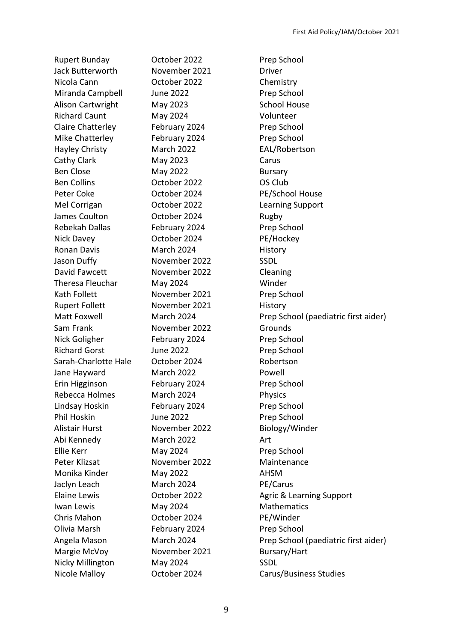Rupert Bunday October 2022 Prep School Jack Butterworth November 2021 Driver Nicola Cann October 2022 Chemistry Miranda Campbell June 2022 Prep School Alison Cartwright May 2023 School House Richard Caunt May 2024 Volunteer Claire Chatterley February 2024 Prep School Mike Chatterley February 2024 Prep School Hayley Christy March 2022 EAL/Robertson Cathy Clark May 2023 Carus Ben Close May 2022 Bursary Ben Collins October 2022 OS Club Peter Coke October 2024 PE/School House Mel Corrigan October 2022 Learning Support James Coulton **Coulton** October 2024 **Rugby** Rebekah Dallas February 2024 Prep School Nick Davey October 2024 PE/Hockey Ronan Davis **March 2024** History Jason Duffy November 2022 SSDL David Fawcett November 2022 Cleaning Theresa Fleuchar May 2024 Winder Kath Follett **November 2021** Prep School Rupert Follett **November 2021** History Sam Frank November 2022 Grounds Nick Goligher February 2024 Prep School Richard Gorst **June 2022** Prep School Sarah-Charlotte Hale October 2024 Robertson Jane Hayward March 2022 Powell Erin Higginson February 2024 Prep School Rebecca Holmes March 2024 Physics Lindsay Hoskin February 2024 Prep School Phil Hoskin June 2022 Prep School Alistair Hurst November 2022 Biology/Winder Abi Kennedy March 2022 Art Ellie Kerr May 2024 Prep School Peter Klizsat November 2022 Maintenance Monika Kinder May 2022 Marshall AHSM Jaclyn Leach March 2024 PE/Carus Iwan Lewis May 2024 Mathematics Chris Mahon October 2024 PE/Winder Olivia Marsh February 2024 Prep School Margie McVoy Movember 2021 Bursary/Hart Nicky Millington May 2024 SSDL Nicole Malloy October 2024 Carus/Business Studies

Matt Foxwell March 2024 Prep School (paediatric first aider) Elaine Lewis **COLOGET 10022 Agric & Learning Support** Angela Mason March 2024 Prep School (paediatric first aider)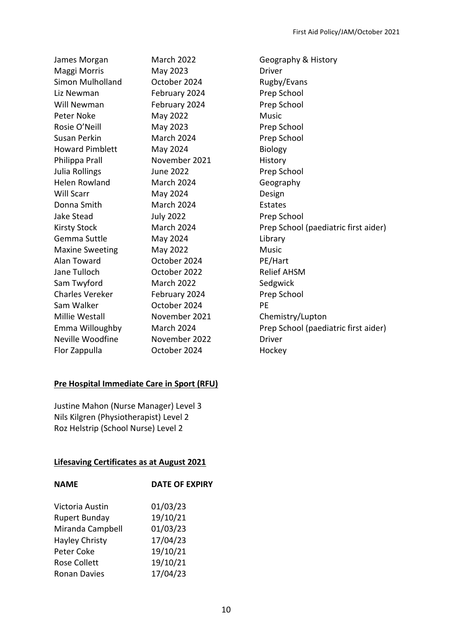James Morgan March 2022 Geography & History Maggi Morris May 2023 Driver Simon Mulholland Cotober 2024 Rugby/Evans Liz Newman February 2024 Prep School Will Newman February 2024 Prep School Peter Noke May 2022 Music Rosie O'Neill May 2023 Prep School Susan Perkin March 2024 Prep School Howard Pimblett May 2024 Biology Philippa Prall **November 2021** History Julia Rollings **June 2022** Prep School Helen Rowland March 2024 Geography Will Scarr May 2024 Design Donna Smith March 2024 Estates Jake Stead July 2022 Prep School Gemma Suttle May 2024 Marshall Manager Channel Maxine Sweeting May 2022 Music Alan Toward October 2024 PE/Hart Jane Tulloch October 2022 Relief AHSM Sam Twyford March 2022 Sedgwick Charles Vereker February 2024 Prep School Sam Walker **Communist Controller 2024** PE Millie Westall November 2021 Chemistry/Lupton Neville Woodfine November 2022 Driver Flor Zappulla October 2024 Hockey

# **Pre Hospital Immediate Care in Sport (RFU)**

Justine Mahon (Nurse Manager) Level 3 Nils Kilgren (Physiotherapist) Level 2 Roz Helstrip (School Nurse) Level 2

#### **Lifesaving Certificates as at August 2021**

| <b>NAME</b>           | <b>DATE OF EXPIRY</b> |
|-----------------------|-----------------------|
| Victoria Austin       | 01/03/23              |
| <b>Rupert Bunday</b>  | 19/10/21              |
| Miranda Campbell      | 01/03/23              |
| <b>Hayley Christy</b> | 17/04/23              |
| Peter Coke            | 19/10/21              |
| <b>Rose Collett</b>   | 19/10/21              |
| <b>Ronan Davies</b>   | 17/04/23              |
|                       |                       |

Kirsty Stock March 2024 Prep School (paediatric first aider) Emma Willoughby March 2024 Prep School (paediatric first aider)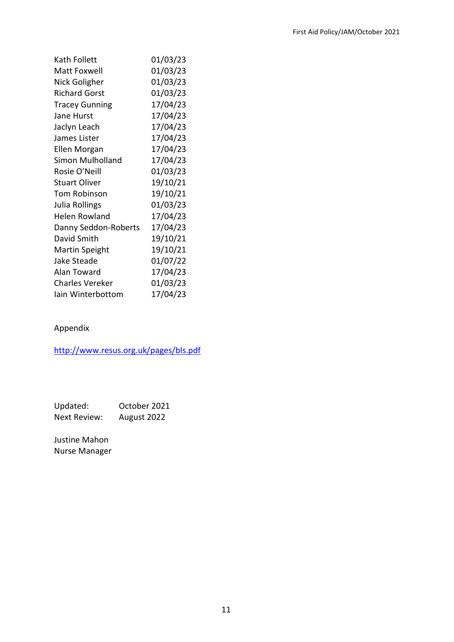| Kath Follett            | 01/03/23 |
|-------------------------|----------|
| Matt Foxwell            | 01/03/23 |
| Nick Goligher           | 01/03/23 |
| <b>Richard Gorst</b>    | 01/03/23 |
| <b>Tracey Gunning</b>   | 17/04/23 |
| Jane Hurst              | 17/04/23 |
| Jaclyn Leach            | 17/04/23 |
| James Lister            | 17/04/23 |
| Ellen Morgan            | 17/04/23 |
| <b>Simon Mulholland</b> | 17/04/23 |
| Rosie O'Neill           | 01/03/23 |
| <b>Stuart Oliver</b>    | 19/10/21 |
| <b>Tom Robinson</b>     | 19/10/21 |
| Julia Rollings          | 01/03/23 |
| Helen Rowland           | 17/04/23 |
| Danny Seddon-Roberts    | 17/04/23 |
| David Smith             | 19/10/21 |
| <b>Martin Speight</b>   | 19/10/21 |
| Jake Steade             | 01/07/22 |
| Alan Toward             | 17/04/23 |
| Charles Vereker         | 01/03/23 |
| lain Winterbottom       | 17/04/23 |

## Appendix

<http://www.resus.org.uk/pages/bls.pdf>

Updated: October 2021 Next Review: August 2022

Justine Mahon Nurse Manager